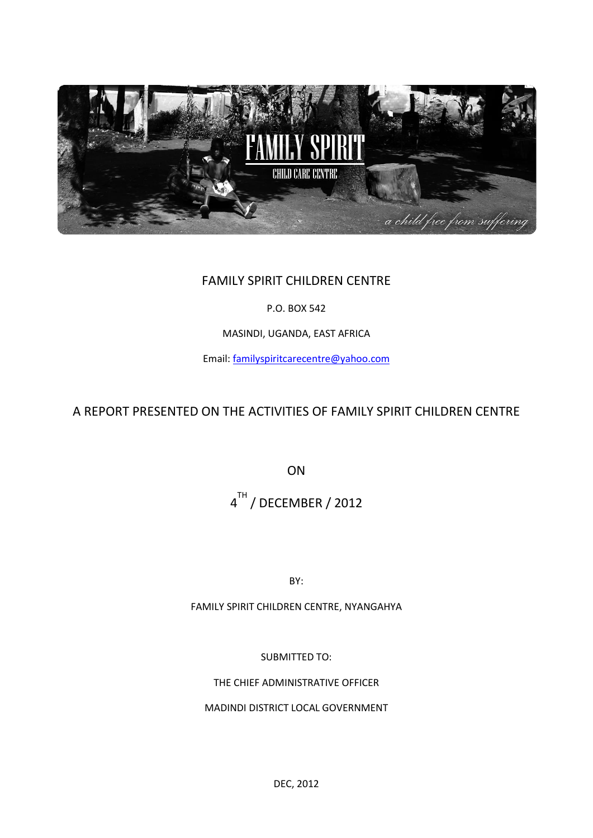

## FAMILY SPIRIT CHILDREN CENTRE

P.O. BOX 542

MASINDI, UGANDA, EAST AFRICA

Email: [familyspiritcarecentre@yahoo.com](mailto:familyspiritcarecentre@yahoo.com)

A REPORT PRESENTED ON THE ACTIVITIES OF FAMILY SPIRIT CHILDREN CENTRE

ON

4 <sup>TH</sup> / DECEMBER / 2012

BY:

FAMILY SPIRIT CHILDREN CENTRE, NYANGAHYA

SUBMITTED TO:

THE CHIEF ADMINISTRATIVE OFFICER

MADINDI DISTRICT LOCAL GOVERNMENT

DEC, 2012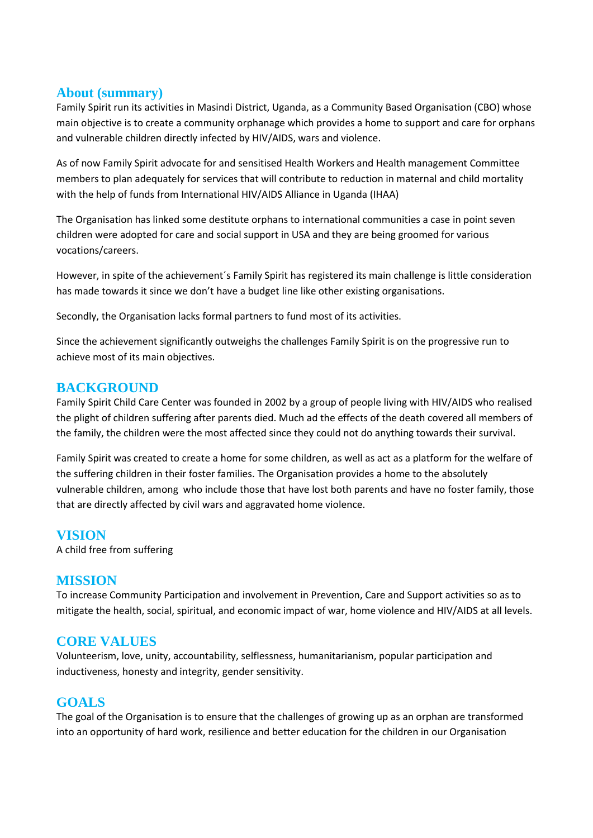#### **About (summary)**

Family Spirit run its activities in Masindi District, Uganda, as a Community Based Organisation (CBO) whose main objective is to create a community orphanage which provides a home to support and care for orphans and vulnerable children directly infected by HIV/AIDS, wars and violence.

As of now Family Spirit advocate for and sensitised Health Workers and Health management Committee members to plan adequately for services that will contribute to reduction in maternal and child mortality with the help of funds from International HIV/AIDS Alliance in Uganda (IHAA)

The Organisation has linked some destitute orphans to international communities a case in point seven children were adopted for care and social support in USA and they are being groomed for various vocations/careers.

However, in spite of the achievement´s Family Spirit has registered its main challenge is little consideration has made towards it since we don't have a budget line like other existing organisations.

Secondly, the Organisation lacks formal partners to fund most of its activities.

Since the achievement significantly outweighs the challenges Family Spirit is on the progressive run to achieve most of its main objectives.

#### **BACKGROUND**

Family Spirit Child Care Center was founded in 2002 by a group of people living with HIV/AIDS who realised the plight of children suffering after parents died. Much ad the effects of the death covered all members of the family, the children were the most affected since they could not do anything towards their survival.

Family Spirit was created to create a home for some children, as well as act as a platform for the welfare of the suffering children in their foster families. The Organisation provides a home to the absolutely vulnerable children, among who include those that have lost both parents and have no foster family, those that are directly affected by civil wars and aggravated home violence.

## **VISION**

A child free from suffering

#### **MISSION**

To increase Community Participation and involvement in Prevention, Care and Support activities so as to mitigate the health, social, spiritual, and economic impact of war, home violence and HIV/AIDS at all levels.

## **CORE VALUES**

Volunteerism, love, unity, accountability, selflessness, humanitarianism, popular participation and inductiveness, honesty and integrity, gender sensitivity.

## **GOALS**

The goal of the Organisation is to ensure that the challenges of growing up as an orphan are transformed into an opportunity of hard work, resilience and better education for the children in our Organisation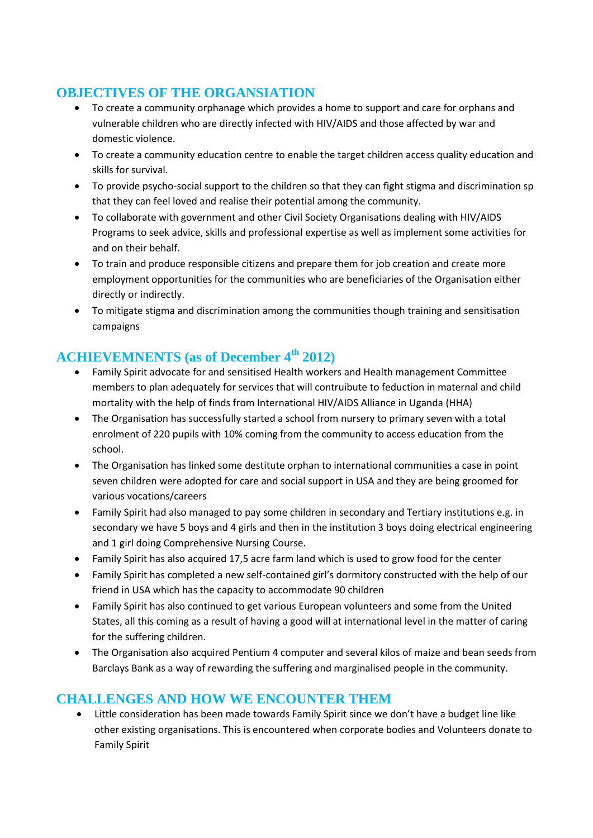# **OBJECTIVES OF THE ORGANSIATION**

- To create a community orphanage which provides a home to support and care for orphans and vulnerable children who are directly infected with HIV/AIDS and those affected by war and domestic violence.
- To create a community education centre to enable the target children access quality education and skills for survival.
- To provide psycho-social support to the children so that they can fight stigma and discrimination sp that they can feel loved and realise their potential among the community.
- To collaborate with government and other Civil Society Organisations dealing with HIV/AIDS Programs to seek advice, skills and professional expertise as well as implement some activities for and on their behalf.
- To train and produce responsible citizens and prepare them for job creation and create more employment opportunities for the communities who are beneficiaries of the Organisation either directly or indirectly.
- To mitigate stigma and discrimination among the communities though training and sensitisation campaigns

# **ACHIEVEMNENTS (as of December 4th 2012)**

- Family Spirit advocate for and sensitised Health workers and Health management Committee members to plan adequately for services that will contruibute to feduction in maternal and child mortality with the help of finds from International HIV/AIDS Alliance in Uganda (HHA)
- The Organisation has successfully started a school from nursery to primary seven with a total enrolment of 220 pupils with 10% coming from the community to access education from the school.
- The Organisation has linked some destitute orphan to international communities a case in point seven children were adopted for care and social support in USA and they are being groomed for various vocations/careers
- Family Spirit had also managed to pay some children in secondary and Tertiary institutions e.g. in secondary we have 5 boys and 4 girls and then in the institution 3 boys doing electrical engineering and 1 girl doing Comprehensive Nursing Course.
- Family Spirit has also acquired 17,5 acre farm land which is used to grow food for the center
- Family Spirit has completed a new self-contained girl's dormitory constructed with the help of our friend in USA which has the capacity to accommodate 90 children
- Family Spirit has also continued to get various European volunteers and some from the United States, all this coming as a result of having a good will at international level in the matter of caring for the suffering children.
- The Organisation also acquired Pentium 4 computer and several kilos of maize and bean seeds from Barclays Bank as a way of rewarding the suffering and marginalised people in the community.

## **CHALLENGES AND HOW WE ENCOUNTER THEM**

 Little consideration has been made towards Family Spirit since we don't have a budget line like other existing organisations. This is encountered when corporate bodies and Volunteers donate to Family Spirit